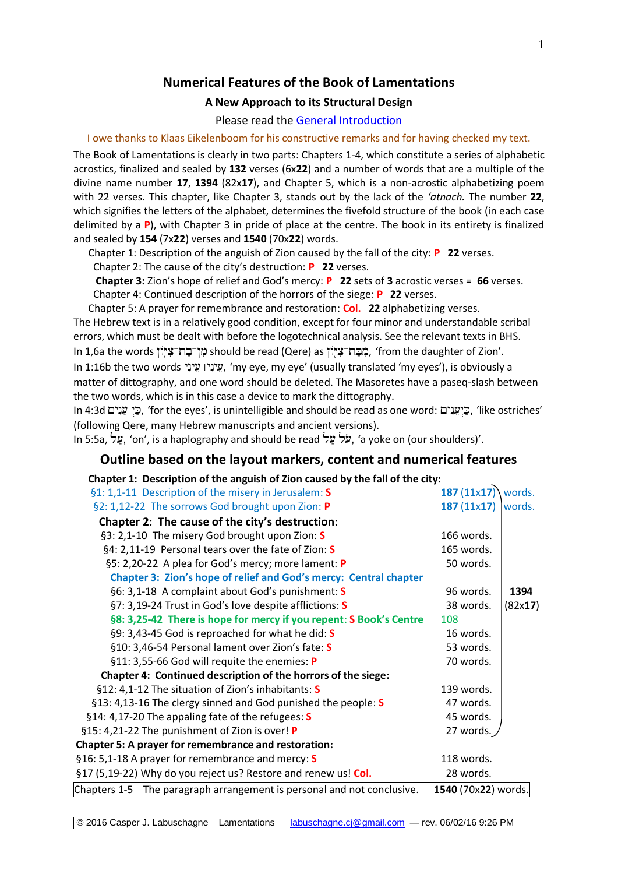## **Numerical Features of the Book of Lamentations**

## **A New Approach to its Structural Design**

#### Please read the [General Introduction](http://www.labuschagne.nl/aspects.pdf)

I owe thanks to Klaas Eikelenboom for his constructive remarks and for having checked my text.

The Book of Lamentations is clearly in two parts: Chapters 1-4, which constitute a series of alphabetic acrostics, finalized and sealed by **132** verses (6x**22**) and a number of words that are a multiple of the divine name number **17**, **1394** (82x**17**), and Chapter 5, which is a non-acrostic alphabetizing poem with 22 verses. This chapter, like Chapter 3, stands out by the lack of the *'atnach.* The number **22**, which signifies the letters of the alphabet, determines the fivefold structure of the book (in each case delimited by a **P**), with Chapter 3 in pride of place at the centre. The book in its entirety is finalized and sealed by **154** (7x**22**) verses and **1540** (70x**22**) words.

Chapter 1: Description of the anguish of Zion caused by the fall of the city: **P 22** verses. Chapter 2: The cause of the city's destruction: **P 22** verses.

 **Chapter 3:** Zion's hope of relief and God's mercy: **P 22** sets of **3** acrostic verses = **66** verses. Chapter 4: Continued description of the horrors of the siege: **P 22** verses.

Chapter 5: A prayer for remembrance and restoration: **Col. 22** alphabetizing verses. The Hebrew text is in a relatively good condition, except for four minor and understandable scribal errors, which must be dealt with before the logotechnical analysis. See the relevant texts in BHS. In 1,6a the words should be read (Qere) as , 'from the daughter of Zion'. In 1:16b the two words , 'my eye, my eye' (usually translated 'my eyes'), is obviously a matter of dittography, and one word should be deleted. The Masoretes have a paseq-slash between the two words, which is in this case a device to mark the dittography.

In 4:3d בֵּי עֵנְיִם, 'for the eyes', is unintelligible and should be read as one word: בֵּי עֵנְיִם, 'like ostriches' (following Qere, many Hebrew manuscripts and ancient versions).

In 5:5a, על, 'on', is a haplography and should be read 'על 'a yoke on (our shoulders)'.

## **Outline based on the layout markers, content and numerical features**

#### **Chapter 1: Description of the anguish of Zion caused by the fall of the city:**

| 187 $(11x17)$       | words.  |
|---------------------|---------|
| 187(11x17)          | words.  |
|                     |         |
| 166 words.          |         |
| 165 words.          |         |
| 50 words.           |         |
|                     |         |
| 96 words.           | 1394    |
| 38 words.           | (82x17) |
| 108                 |         |
| 16 words.           |         |
| 53 words.           |         |
| 70 words.           |         |
|                     |         |
| 139 words.          |         |
| 47 words.           |         |
| 45 words.           |         |
| 27 words.           |         |
|                     |         |
| 118 words.          |         |
| 28 words.           |         |
| 1540 (70x22) words. |         |
|                     |         |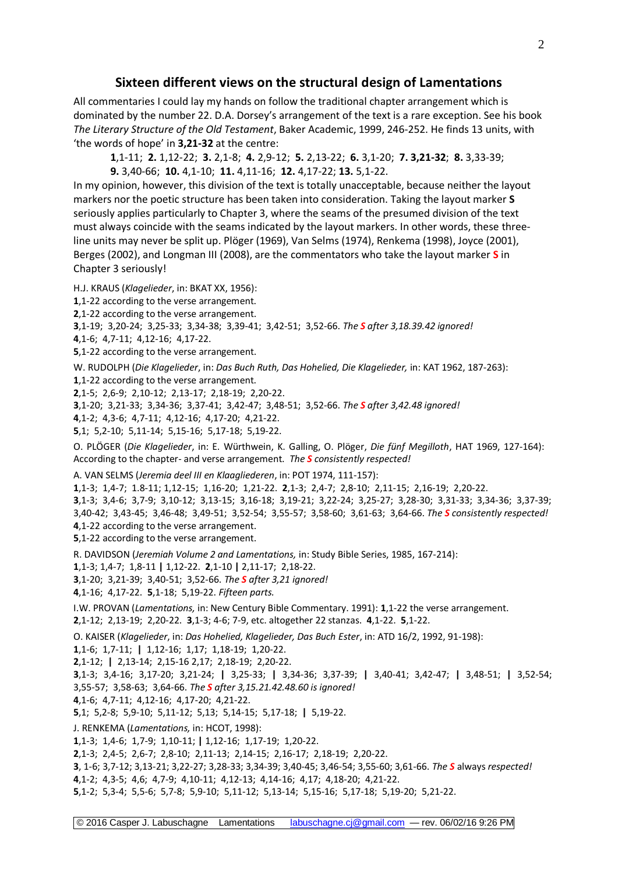## **Sixteen different views on the structural design of Lamentations**

All commentaries I could lay my hands on follow the traditional chapter arrangement which is dominated by the number 22. D.A. Dorsey's arrangement of the text is a rare exception. See his book *The Literary Structure of the Old Testament*, Baker Academic, 1999, 246-252. He finds 13 units, with 'the words of hope' in **3,21-32** at the centre:

**1**,1-11; **2.** 1,12-22; **3.** 2,1-8; **4.** 2,9-12; **5.** 2,13-22; **6.** 3,1-20; **7. 3,21-32**; **8.** 3,33-39; **9.** 3,40-66; **10.** 4,1-10; **11.** 4,11-16; **12.** 4,17-22; **13.** 5,1-22.

In my opinion, however, this division of the text is totally unacceptable, because neither the layout markers nor the poetic structure has been taken into consideration. Taking the layout marker **S** seriously applies particularly to Chapter 3, where the seams of the presumed division of the text must always coincide with the seams indicated by the layout markers. In other words, these threeline units may never be split up. Plöger (1969), Van Selms (1974), Renkema (1998), Joyce (2001), Berges (2002), and Longman III (2008), are the commentators who take the layout marker **S** in Chapter 3 seriously!

H.J. KRAUS (*Klagelieder*, in: BKAT XX, 1956):

**1**,1-22 according to the verse arrangement.

**2**,1-22 according to the verse arrangement.

**3**,1-19; 3,20-24; 3,25-33; 3,34-38; 3,39-41; 3,42-51; 3,52-66. *The S after 3,18.39.42 ignored!* 

**4**,1-6; 4,7-11; 4,12-16; 4,17-22.

**5**,1-22 according to the verse arrangement.

W. RUDOLPH (*Die Klagelieder*, in: *Das Buch Ruth, Das Hohelied, Die Klagelieder,* in: KAT 1962, 187-263):

**1**,1-22 according to the verse arrangement.

**2**,1-5; 2,6-9; 2,10-12; 2,13-17; 2,18-19; 2,20-22.

**3**,1-20; 3,21-33; 3,34-36; 3,37-41; 3,42-47; 3,48-51; 3,52-66. *The S after 3,42.48 ignored!*

**4**,1-2; 4,3-6; 4,7-11; 4,12-16; 4,17-20; 4,21-22.

**5**,1; 5,2-10; 5,11-14; 5,15-16; 5,17-18; 5,19-22.

O. PLÖGER (*Die Klagelieder*, in: E. Würthwein, K. Galling, O. Plöger, *Die fünf Megilloth*, HAT 1969, 127-164): According to the chapter- and verse arrangement. *The S consistently respected!*

A. VAN SELMS (*Jeremia deel III en Klaagliederen*, in: POT 1974, 111-157):

,1-3; 1,4-7; 1.8-11; 1,12-15; 1,16-20; 1,21-22. **2**,1-3; 2,4-7; 2,8-10; 2,11-15; 2,16-19; 2,20-22. ,1-3; 3,4-6; 3,7-9; 3,10-12; 3,13-15; 3,16-18; 3,19-21; 3,22-24; 3,25-27; 3,28-30; 3,31-33; 3,34-36; 3,37-39; 3,40-42; 3,43-45; 3,46-48; 3,49-51; 3,52-54; 3,55-57; 3,58-60; 3,61-63; 3,64-66. *The S consistently respected!* ,1-22 according to the verse arrangement.

**5**,1-22 according to the verse arrangement.

R. DAVIDSON (*Jeremiah Volume 2 and Lamentations,* in: Study Bible Series, 1985, 167-214):

**1**,1-3; 1,4-7; 1,8-11 **|** 1,12-22. **2**,1-10 **|** 2,11-17; 2,18-22.

**3**,1-20; 3,21-39; 3,40-51; 3,52-66. *The S after 3,21 ignored!*

**4**,1-16; 4,17-22. **5**,1-18; 5,19-22. *Fifteen parts.*

I.W. PROVAN (*Lamentations,* in: New Century Bible Commentary. 1991): **1**,1-22 the verse arrangement.

**2**,1-12; 2,13-19; 2,20-22. **3**,1-3; 4-6; 7-9, etc. altogether 22 stanzas. **4**,1-22. **5**,1-22.

O. KAISER (*Klagelieder*, in: *Das Hohelied, Klagelieder, Das Buch Ester*, in: ATD 16/2, 1992, 91-198):

**1**,1-6; 1,7-11; **|** 1,12-16; 1,17; 1,18-19; 1,20-22.

**2**,1-12; **|** 2,13-14; 2,15-16 2,17; 2,18-19; 2,20-22.

**3**,1-3; 3,4-16; 3,17-20; 3,21-24; **|** 3,25-33; **|** 3,34-36; 3,37-39; **|** 3,40-41; 3,42-47; **|** 3,48-51; **|** 3,52-54; 3,55-57; 3,58-63; 3,64-66. *The S after 3,15.21.42.48.60 is ignored!*

**4**,1-6; 4,7-11; 4,12-16; 4,17-20; 4,21-22.

**5**,1; 5,2-8; 5,9-10; 5,11-12; 5,13; 5,14-15; 5,17-18; **|** 5,19-22.

J. RENKEMA (*Lamentations,* in: HCOT, 1998):

**1**,1-3; 1,4-6; 1,7-9; 1,10-11; **|** 1,12-16; 1,17-19; 1,20-22.

**2**,1-3; 2,4-5; 2,6-7; 2,8-10; 2,11-13; 2,14-15; 2,16-17; 2,18-19; 2,20-22.

**3**, 1-6; 3,7-12; 3,13-21; 3,22-27; 3,28-33; 3,34-39; 3,40-45; 3,46-54; 3,55-60; 3,61-66. *The S* always *respected!*

**4**,1-2; 4,3-5; 4,6; 4,7-9; 4,10-11; 4,12-13; 4,14-16; 4,17; 4,18-20; 4,21-22.

**5**,1-2; 5,3-4; 5,5-6; 5,7-8; 5,9-10; 5,11-12; 5,13-14; 5,15-16; 5,17-18; 5,19-20; 5,21-22.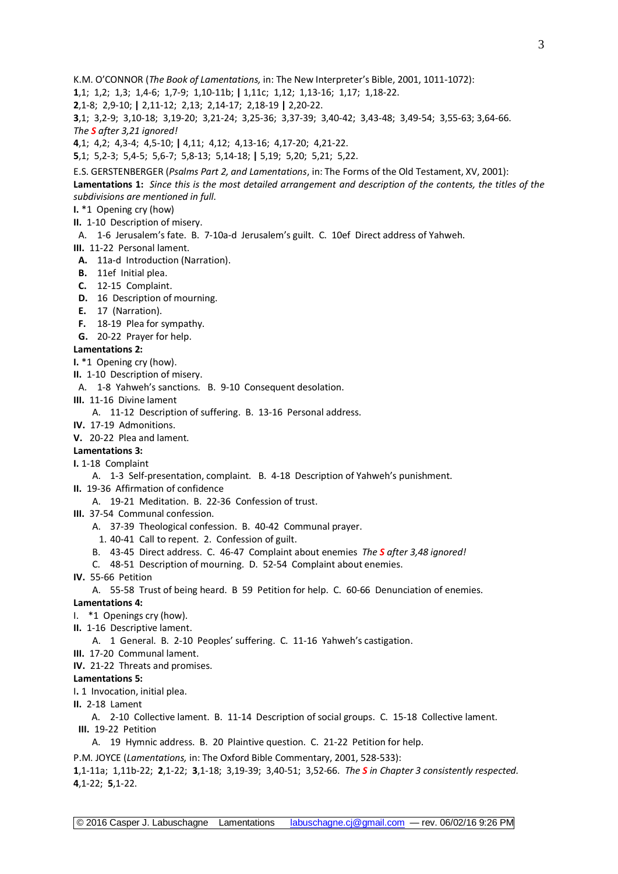K.M. O'CONNOR (*The Book of Lamentations,* in: The New Interpreter's Bible, 2001, 1011-1072):

**1**,1; 1,2; 1,3; 1,4-6; 1,7-9; 1,10-11b; **|** 1,11c; 1,12; 1,13-16; 1,17; 1,18-22.

**2**,1-8; 2,9-10; **|** 2,11-12; 2,13; 2,14-17; 2,18-19 **|** 2,20-22.

**3**,1; 3,2-9; 3,10-18; 3,19-20; 3,21-24; 3,25-36; 3,37-39; 3,40-42; 3,43-48; 3,49-54; 3,55-63; 3,64-66. *The S after 3,21 ignored!*

**4**,1; 4,2; 4,3-4; 4,5-10; **|** 4,11; 4,12; 4,13-16; 4,17-20; 4,21-22.

**5**,1; 5,2-3; 5,4-5; 5,6-7; 5,8-13; 5,14-18; **|** 5,19; 5,20; 5,21; 5,22.

E.S. GERSTENBERGER (*Psalms Part 2, and Lamentations*, in: The Forms of the Old Testament, XV, 2001): **Lamentations 1:** *Since this is the most detailed arrangement and description of the contents, the titles of the subdivisions are mentioned in full.*

#### **I.** \*1 Opening cry (how)

**II.** 1-10 Description of misery.

A. 1-6 Jerusalem's fate. B. 7-10a-d Jerusalem's guilt. C. 10ef Direct address of Yahweh.

- **III.** 11-22 Personal lament.
- **A.** 11a-d Introduction (Narration).
- **B.** 11ef Initial plea.
- **C.** 12-15 Complaint.
- **D.** 16 Description of mourning.
- **E.** 17 (Narration).
- **F.** 18-19 Plea for sympathy.
- **G.** 20-22 Prayer for help.

#### **Lamentations 2:**

- **I.** \*1 Opening cry (how).
- **II.** 1-10 Description of misery.

A. 1-8 Yahweh's sanctions. B. 9-10 Consequent desolation.

**III.** 11-16 Divine lament

A. 11-12 Description of suffering. B. 13-16 Personal address.

- **IV.** 17-19 Admonitions.
- **V.** 20-22 Plea and lament.

#### **Lamentations 3:**

**I.** 1-18 Complaint

- A. 1-3 Self-presentation, complaint. B. 4-18 Description of Yahweh's punishment.
- **II.** 19-36 Affirmation of confidence
	- A. 19-21 Meditation. B. 22-36 Confession of trust.
- **III.** 37-54Communal confession.
	- A. 37-39 Theological confession. B. 40-42 Communal prayer.
	- 1. 40-41 Call to repent. 2. Confession of guilt.
	- B. 43-45 Direct address. C. 46-47 Complaint about enemies *The S after 3,48 ignored!*
	- C. 48-51 Description of mourning. D. 52-54 Complaint about enemies.
- **IV.** 55-66 Petition
	- A. 55-58 Trust of being heard. B 59 Petition for help. C. 60-66 Denunciation of enemies.

#### **Lamentations 4:**

- I. \*1 Openings cry (how).
- **II.** 1-16 Descriptive lament.
	- A. 1 General. B. 2-10 Peoples' suffering. C. 11-16 Yahweh's castigation.
- **III.** 17-20 Communal lament.
- **IV.** 21-22 Threats and promises.

#### **Lamentations 5:**

I**.** 1 Invocation, initial plea.

**II.** 2-18 Lament

A. 2-10 Collective lament. B. 11-14 Description of social groups. C. 15-18 Collective lament. **III.** 19-22 Petition

A. 19 Hymnic address. B. 20 Plaintive question. C. 21-22 Petition for help.

P.M. JOYCE (*Lamentations,* in: The Oxford Bible Commentary, 2001, 528-533):

**1**,1-11a; 1,11b-22; **2**,1-22; **3**,1-18; 3,19-39; 3,40-51; 3,52-66. *The S in Chapter 3 consistently respected.* **4**,1-22; **5**,1-22.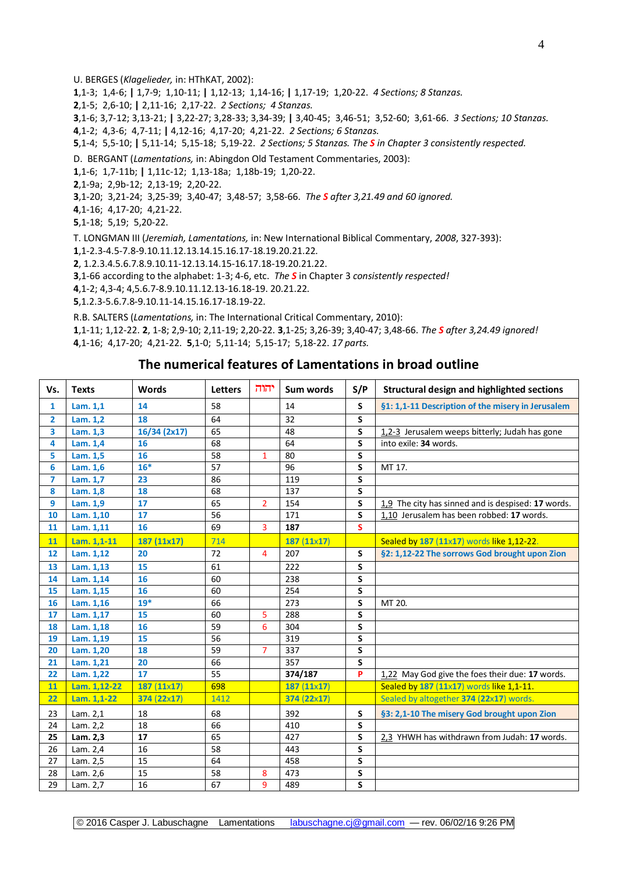U. BERGES (*Klagelieder,* in: HThKAT, 2002):

,1-3; 1,4-6; **|** 1,7-9; 1,10-11; **|** 1,12-13; 1,14-16; **|** 1,17-19; 1,20-22. *4 Sections; 8 Stanzas.*

,1-5; 2,6-10; **|** 2,11-16; 2,17-22. *2 Sections; 4 Stanzas.*

,1-6; 3,7-12; 3,13-21; **|** 3,22-27; 3,28-33; 3,34-39; **|** 3,40-45; 3,46-51; 3,52-60; 3,61-66. *3 Sections; 10 Stanzas.* ,1-2; 4,3-6; 4,7-11; **|** 4,12-16; 4,17-20; 4,21-22. *2 Sections; 6 Stanzas.*

,1-4; 5,5-10; **|** 5,11-14; 5,15-18; 5,19-22. *2 Sections; 5 Stanzas. The S in Chapter 3 consistently respected.*

D. BERGANT (*Lamentations,* in: Abingdon Old Testament Commentaries, 2003):

,1-6; 1,7-11b; **|** 1,11c-12; 1,13-18a; 1,18b-19; 1,20-22.

,1-9a; 2,9b-12; 2,13-19; 2,20-22.

,1-20; 3,21-24; 3,25-39; 3,40-47; 3,48-57; 3,58-66. *The S after 3,21.49 and 60 ignored.*

,1-16; 4,17-20; 4,21-22.

,1-18; 5,19; 5,20-22.

T. LONGMAN III (*Jeremiah, Lamentations,* in: New International Biblical Commentary, *2008*, 327-393):

,1-2.3-4.5-7.8-9.10.11.12.13.14.15.16.17-18.19.20.21.22.

, 1.2.3.4.5.6.7.8.9.10.11-12.13.14.15-16.17.18-19.20.21.22.

,1-66 according to the alphabet: 1-3; 4-6, etc. *The S* in Chapter 3 *consistently respected!*

,1-2; 4,3-4; 4,5.6.7-8.9.10.11.12.13-16.18-19. 20.21.22.

,1.2.3-5.6.7.8-9.10.11-14.15.16.17-18.19-22.

R.B. SALTERS (*Lamentations,* in: The International Critical Commentary, 2010):

,1-11; 1,12-22. **2**, 1-8; 2,9-10; 2,11-19; 2,20-22. **3**,1-25; 3,26-39; 3,40-47; 3,48-66. *The S after 3,24.49 ignored!* ,1-16; 4,17-20; 4,21-22. **5**,1-0; 5,11-14; 5,15-17; 5,18-22. *17 parts.*

### **The numerical features of Lamentations in broad outline**

| Vs.            | <b>Texts</b> | <b>Words</b>      | <b>Letters</b> | יהוה           | Sum words         | S/P                     | <b>Structural design and highlighted sections</b>  |
|----------------|--------------|-------------------|----------------|----------------|-------------------|-------------------------|----------------------------------------------------|
| $\mathbf{1}$   | Lam. 1,1     | 14                | 58             |                | 14                | S                       | §1: 1,1-11 Description of the misery in Jerusalem  |
| $\overline{2}$ | Lam. 1,2     | 18                | 64             |                | 32                | S                       |                                                    |
| 3              | Lam. 1,3     | 16/34 (2x17)      | 65             |                | 48                | S                       | 1,2-3 Jerusalem weeps bitterly; Judah has gone     |
| 4              | Lam. 1,4     | 16                | 68             |                | 64                | S                       | into exile: 34 words.                              |
| 5              | Lam. 1,5     | 16                | 58             | $\mathbf{1}$   | 80                | S                       |                                                    |
| 6              | Lam. 1,6     | $16*$             | 57             |                | 96                | S                       | MT 17.                                             |
| $\overline{7}$ | Lam. 1,7     | 23                | 86             |                | 119               | S                       |                                                    |
| 8              | Lam. 1,8     | 18                | 68             |                | 137               | S                       |                                                    |
| 9              | Lam. 1,9     | 17                | 65             | $\overline{2}$ | 154               | S                       | 1,9 The city has sinned and is despised: 17 words. |
| 10             | Lam. 1,10    | 17                | 56             |                | 171               | S                       | 1,10 Jerusalem has been robbed: 17 words.          |
| 11             | Lam. 1,11    | 16                | 69             | $\overline{3}$ | 187               | S                       |                                                    |
| 11             | Lam. 1,1-11  | 187 (11x17)       | 714            |                | $187(11\times17)$ |                         | Sealed by 187 (11x17) words like 1,12-22.          |
| 12             | Lam. 1,12    | 20                | 72             | 4              | 207               | S                       | §2: 1,12-22 The sorrows God brought upon Zion      |
| 13             | Lam. 1,13    | 15                | 61             |                | 222               | S                       |                                                    |
| 14             | Lam. 1,14    | 16                | 60             |                | 238               | S                       |                                                    |
| 15             | Lam. 1,15    | 16                | 60             |                | 254               | S                       |                                                    |
| 16             | Lam. 1,16    | $19*$             | 66             |                | 273               | S                       | MT 20.                                             |
| 17             | Lam. 1,17    | 15                | 60             | 5              | 288               | S                       |                                                    |
| 18             | Lam. 1,18    | 16                | 59             | 6              | 304               | S                       |                                                    |
| 19             | Lam. 1,19    | 15                | 56             |                | 319               | S                       |                                                    |
| 20             | Lam. 1,20    | 18                | 59             | $\overline{7}$ | 337               | $\overline{\mathsf{s}}$ |                                                    |
| 21             | Lam. 1,21    | 20                | 66             |                | 357               | S                       |                                                    |
| 22             | Lam. 1,22    | 17                | 55             |                | 374/187           | P                       | 1,22 May God give the foes their due: 17 words.    |
| 11             | Lam. 1,12-22 | $187(11\times17)$ | 698            |                | 187 (11x17)       |                         | Sealed by 187 (11x17) words like 1,1-11.           |
| 22             | Lam. 1,1-22  | 374 (22x17)       | 1412           |                | 374 (22x17)       |                         | Sealed by altogether 374 (22x17) words.            |
| 23             | Lam. 2,1     | 18                | 68             |                | 392               | S                       | §3: 2,1-10 The misery God brought upon Zion        |
| 24             | Lam. 2,2     | 18                | 66             |                | 410               | S                       |                                                    |
| 25             | Lam. 2,3     | 17                | 65             |                | 427               | S                       | 2,3 YHWH has withdrawn from Judah: 17 words.       |
| 26             | Lam. 2,4     | 16                | 58             |                | 443               | S                       |                                                    |
| 27             | Lam. 2,5     | 15                | 64             |                | 458               | S                       |                                                    |
| 28             | Lam. 2,6     | 15                | 58             | 8              | 473               | S                       |                                                    |
| 29             | Lam. 2,7     | 16                | 67             | 9              | 489               | S                       |                                                    |

© 2016 Casper J. Labuschagne Lamentations [labuschagne.cj@gmail.com](mailto:labuschagne.cj@gmail.com) — rev. 06/02/16 9:26 PM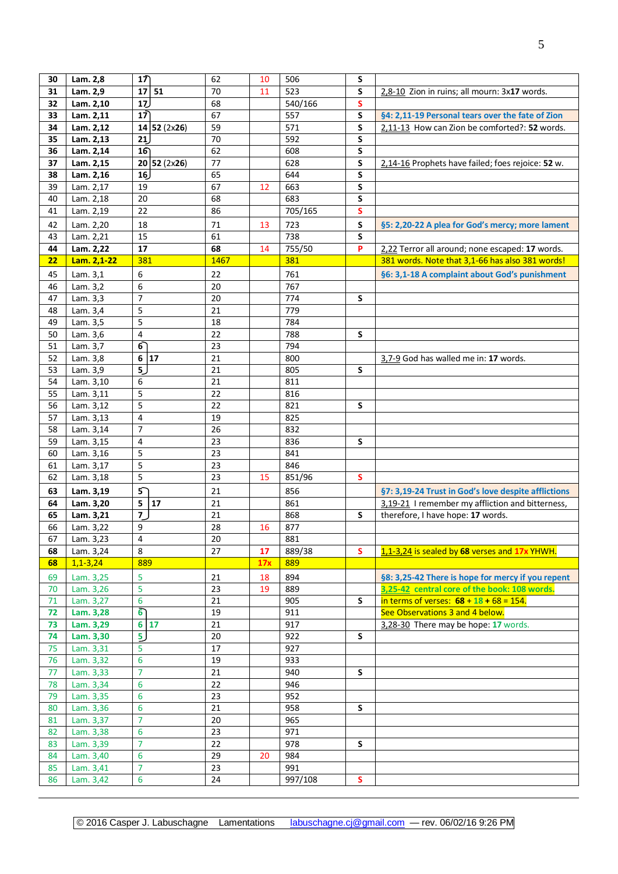| 30       | Lam. 2,8                | 17                    | 62       | 10  | 506           | S           |                                                     |
|----------|-------------------------|-----------------------|----------|-----|---------------|-------------|-----------------------------------------------------|
| 31       | Lam. 2,9                | 51<br>17 <sup>1</sup> | 70       | 11  | 523           | S           | 2,8-10 Zion in ruins; all mourn: 3x17 words.        |
| 32       | Lam. 2,10               |                       |          |     | 540/166       |             |                                                     |
|          |                         | 17)                   | 68       |     |               | S           |                                                     |
| 33       | Lam. 2,11               | 17                    | 67       |     | 557           | S           | §4: 2,11-19 Personal tears over the fate of Zion    |
| 34       | Lam. 2,12               | 14 52(2x26)           | 59       |     | 571           | S           | 2,11-13 How can Zion be comforted?: 52 words.       |
| 35       | Lam. 2,13               | 21                    | 70       |     | 592           | S           |                                                     |
| 36       | Lam. 2,14               | 16                    | 62       |     | 608           | S           |                                                     |
| 37       | Lam. 2,15               | 20 52(2x26)           | 77       |     | 628           | S           | 2,14-16 Prophets have failed; foes rejoice: 52 w.   |
| 38       | Lam. 2,16               | 16                    | 65       |     | 644           | S           |                                                     |
| 39       | Lam. 2,17               | 19                    | 67       | 12  | 663           | S           |                                                     |
| 40       | Lam. 2,18               | 20                    | 68       |     | 683           | S           |                                                     |
| 41       | Lam. 2,19               | 22                    | 86       |     | 705/165       | S           |                                                     |
| 42       | Lam. 2,20               | 18                    | 71       | 13  | 723           | S           | §5: 2,20-22 A plea for God's mercy; more lament     |
| 43       | Lam. 2,21               | 15                    | 61       |     | 738           | S           |                                                     |
| 44       | Lam. 2,22               | 17                    | 68       | 14  | 755/50        | P           | 2,22 Terror all around; none escaped: 17 words.     |
| 22       | Lam. 2,1-22             | 381                   | 1467     |     | 381           |             | 381 words. Note that 3,1-66 has also 381 words!     |
| 45       | Lam. 3,1                | 6                     | 22       |     | 761           |             | §6: 3,1-18 A complaint about God's punishment       |
|          |                         | 6                     |          |     |               |             |                                                     |
| 46       | Lam. 3,2                | $\overline{7}$        | 20       |     | 767           |             |                                                     |
| 47       | Lam. 3,3                |                       | 20       |     | 774           | S           |                                                     |
| 48       | Lam. 3,4                | 5                     | 21       |     | 779           |             |                                                     |
| 49       | Lam. 3,5                | 5                     | 18       |     | 784           |             |                                                     |
| 50       | Lam. 3,6                | 4                     | 22       |     | 788           | S           |                                                     |
| 51       | Lam. 3,7                | $\overline{6}$        | 23       |     | 794           |             |                                                     |
| 52       | Lam. 3,8                | 6 17                  | 21       |     | 800           |             | 3,7-9 God has walled me in: 17 words.               |
| 53       | Lam. 3,9                | 5 <sub>2</sub>        | 21       |     | 805           | S           |                                                     |
| 54       | Lam. 3,10               | 6                     | 21       |     | 811           |             |                                                     |
| 55       | Lam. 3,11               | 5                     | 22       |     | 816           |             |                                                     |
| 56       | Lam. 3,12               | $\overline{5}$        | 22       |     | 821           | S           |                                                     |
| 57       | Lam. 3,13               | 4                     | 19       |     | 825           |             |                                                     |
| 58       | Lam. 3,14               | $\overline{7}$        | 26       |     | 832           |             |                                                     |
| 59       | Lam. 3,15               | $\overline{4}$        | 23       |     | 836           | S           |                                                     |
| 60       | Lam. 3,16               | 5                     | 23       |     | 841           |             |                                                     |
| 61       | Lam. 3,17               | 5                     | 23       |     | 846           |             |                                                     |
| 62       | Lam. 3,18               | 5                     | 23       | 15  | 851/96        | <b>S</b>    |                                                     |
| 63       | Lam. 3,19               | 5 <sup>2</sup>        | 21       |     | 856           |             | §7: 3,19-24 Trust in God's love despite afflictions |
| 64       | Lam. 3,20               | 5<br>17               | 21       |     | 861           |             | 3,19-21 I remember my affliction and bitterness,    |
| 65       | Lam. 3,21               | $\overline{7}$        | 21       |     | 868           | S           | therefore, I have hope: 17 words.                   |
| 66       | Lam. 3,22               | 9                     | 28       | 16  | 877           |             |                                                     |
|          |                         |                       |          |     |               |             |                                                     |
| 67       | Lam. 3,23               | 4<br>8                | 20<br>27 |     | 881<br>889/38 | <b>S</b>    | 1,1-3,24 is sealed by 68 verses and 17x YHWH.       |
| 68<br>68 | Lam. 3,24<br>$1,1-3,24$ |                       |          | 17  | 889           |             |                                                     |
|          |                         | 889                   |          | 17x |               |             |                                                     |
| 69       | Lam. 3,25               | 5                     | 21       | 18  | 894           |             | §8: 3,25-42 There is hope for mercy if you repent   |
| 70       | Lam. 3,26               | 5                     | 23       | 19  | 889           |             | 3,25-42 central core of the book: 108 words.        |
| 71       | Lam. 3,27               | 6                     | 21       |     | 905           | S           | in terms of verses: $68 + 18 + 68 = 154$ .          |
| 72       | Lam. 3,28               | ்                     | 19       |     | 911           |             | See Observations 3 and 4 below.                     |
| 73       | Lam. 3,29               | $6 \overline{17}$     | 21       |     | 917           |             | 3,28-30 There may be hope: 17 words.                |
| 74       | Lam. 3,30               | 5 <sub>2</sub>        | 20       |     | 922           | S           |                                                     |
| 75       | Lam. 3,31               | 5                     | 17       |     | 927           |             |                                                     |
| 76       | Lam. 3,32               | 6                     | 19       |     | 933           |             |                                                     |
| 77       | Lam. 3,33               | $\overline{7}$        | 21       |     | 940           | S           |                                                     |
| 78       | Lam. 3,34               | 6                     | 22       |     | 946           |             |                                                     |
| 79       | Lam. 3,35               | 6                     | 23       |     | 952           |             |                                                     |
| 80       | Lam. 3,36               | 6                     | 21       |     | 958           | $\mathsf S$ |                                                     |
| 81       | Lam. 3,37               | $\overline{7}$        | 20       |     | 965           |             |                                                     |
| 82       | Lam. 3,38               | 6                     | 23       |     | 971           |             |                                                     |
| 83       | Lam. 3,39               | $\overline{7}$        | 22       |     | 978           | S           |                                                     |
| 84       | Lam. 3,40               | 6                     | 29       | 20  | 984           |             |                                                     |
| 85       | Lam. 3,41               | $\overline{7}$        | 23       |     | 991           |             |                                                     |
| 86       | Lam. 3,42               | 6                     | 24       |     | 997/108       | S           |                                                     |
|          |                         |                       |          |     |               |             |                                                     |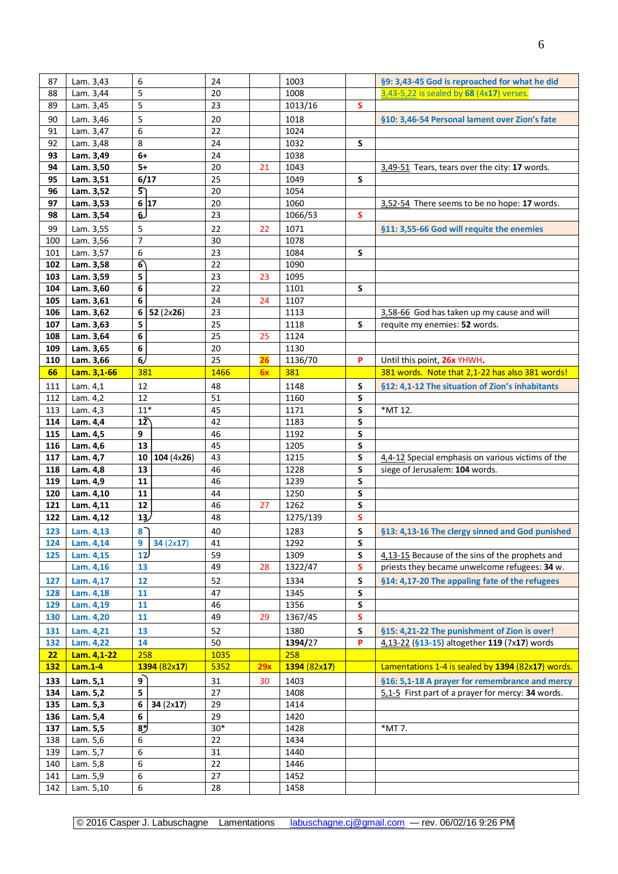| 87         | Lam. 3,43   | 6               | 24    |     | 1003         |           | §9: 3,43-45 God is reproached for what he did     |
|------------|-------------|-----------------|-------|-----|--------------|-----------|---------------------------------------------------|
| 88         | Lam. 3,44   | 5               | 20    |     | 1008         |           | 3,43-5,22 is sealed by 68 (4x17) verses.          |
| 89         | Lam. 3,45   | 5               | 23    |     | 1013/16      | S         |                                                   |
| 90         | Lam. 3,46   | 5               | 20    |     | 1018         |           | §10: 3,46-54 Personal lament over Zion's fate     |
| 91         | Lam. 3,47   | 6               | 22    |     | 1024         |           |                                                   |
|            |             |                 |       |     |              |           |                                                   |
| 92         | Lam. 3,48   | 8               | 24    |     | 1032         | S         |                                                   |
| 93         | Lam. 3,49   | $6+$            | 24    |     | 1038         |           |                                                   |
| 94         | Lam. 3,50   | $5+$            | 20    | 21  | 1043         |           | 3,49-51 Tears, tears over the city: 17 words.     |
| 95         | Lam. 3,51   | 6/17            | 25    |     | 1049         | S         |                                                   |
| 96         | Lam. 3,52   | 5               | 20    |     | 1054         |           |                                                   |
|            |             |                 |       |     |              |           |                                                   |
| 97         | Lam. 3,53   | 6 17            | 20    |     | 1060         |           | 3,52-54 There seems to be no hope: 17 words.      |
| 98         | Lam. 3,54   | 6               | 23    |     | 1066/53      | s         |                                                   |
| 99         | Lam. 3,55   | 5               | 22    | 22  | 1071         |           | §11: 3,55-66 God will requite the enemies         |
| 100        | Lam. 3,56   | $\overline{7}$  | 30    |     | 1078         |           |                                                   |
| 101        | Lam. 3,57   | 6               | 23    |     | 1084         | S         |                                                   |
|            |             |                 |       |     |              |           |                                                   |
| 102        | Lam. 3,58   | 6               | 22    |     | 1090         |           |                                                   |
| 103        | Lam. 3,59   | 5               | 23    | 23  | 1095         |           |                                                   |
| 104        | Lam. 3,60   | 6               | 22    |     | 1101         | S         |                                                   |
| 105        | Lam. 3,61   | 6               | 24    | 24  | 1107         |           |                                                   |
| 106        | Lam. 3,62   | 6 <br>52(2x26)  | 23    |     | 1113         |           | 3,58-66 God has taken up my cause and will        |
|            |             |                 |       |     |              | S         |                                                   |
| 107        | Lam. 3,63   | 5               | 25    |     | 1118         |           | requite my enemies: 52 words.                     |
| 108        | Lam. 3,64   | 6               | 25    | 25  | 1124         |           |                                                   |
| 109        | Lam. 3,65   | 6               | 20    |     | 1130         |           |                                                   |
| 110        | Lam. 3,66   | 6/              | 25    | 26  | 1136/70      | P         | Until this point, 26x YHWH.                       |
| 66         | Lam. 3,1-66 | 381             | 1466  | 6x  | 381          |           | 381 words. Note that 2,1-22 has also 381 words!   |
|            |             |                 |       |     |              |           |                                                   |
| 111        | Lam. 4,1    | 12              | 48    |     | 1148         | S         | §12: 4,1-12 The situation of Zion's inhabitants   |
| 112        | Lam. 4,2    | 12              | 51    |     | 1160         | S         |                                                   |
| 113        | Lam. 4,3    | $11*$           | 45    |     | 1171         | S         | *MT 12.                                           |
| 114        | Lam. 4,4    | 12              | 42    |     | 1183         | S         |                                                   |
| 115        | Lam. 4,5    | 9               | 46    |     | 1192         | S         |                                                   |
| 116        | Lam. 4,6    | 13              | 45    |     | 1205         | ${\sf S}$ |                                                   |
|            |             |                 |       |     |              |           |                                                   |
| 117        | Lam. 4,7    | 104(4x26)<br>10 | 43    |     | 1215         | S         | 4,4-12 Special emphasis on various victims of the |
| 118        | Lam. 4,8    | 13              | 46    |     | 1228         | S         | siege of Jerusalem: 104 words.                    |
| 119        | Lam. 4,9    | 11              | 46    |     | 1239         | S         |                                                   |
| 120        | Lam. 4,10   | 11              | 44    |     | 1250         | S         |                                                   |
| 121        | Lam. 4,11   | 12              | 46    | 27  | 1262         | S         |                                                   |
| 122        | Lam. 4,12   | 13              | 48    |     | 1275/139     | ${\sf s}$ |                                                   |
|            |             |                 |       |     |              |           |                                                   |
| 123        | Lam. 4,13   | 8 <sup>7</sup>  | 40    |     | 1283         | S         | §13: 4,13-16 The clergy sinned and God punished   |
| 124        | Lam. 4,14   | 9<br>34(2x17)   | 41    |     | 1292         | S         |                                                   |
| 125        | Lam. 4,15   | 12              | 59    |     | 1309         | S         | 4,13-15 Because of the sins of the prophets and   |
|            | Lam. 4,16   | 13              | 49    | 28  | 1322/47      | ${\sf s}$ | priests they became unwelcome refugees: 34 w.     |
|            |             |                 |       |     |              |           |                                                   |
| 127        | Lam. 4,17   | 12              | 52    |     | 1334         | S         | §14: 4,17-20 The appaling fate of the refugees    |
| 128        | Lam. 4,18   | 11              | 47    |     | 1345         | S         |                                                   |
| 129        | Lam. 4,19   | 11              | 46    |     | 1356         | S         |                                                   |
| 130        | Lam. 4,20   | 11              | 49    | 29  | 1367/45      | ${\sf s}$ |                                                   |
| 131        |             | 13              | 52    |     | 1380         |           |                                                   |
|            | Lam. 4,21   |                 |       |     |              | S         | §15: 4,21-22 The punishment of Zion is over!      |
| 132        | Lam. 4,22   | 14              | 50    |     | 1394/27      | P         | 4,13-22 (§13-15) altogether 119 (7x17) words      |
| 22         | Lam. 4,1-22 | 258             | 1035  |     | 258          |           |                                                   |
| <b>132</b> | Lam.1-4     | 1394(82x17)     | 5352  | 29x | 1394 (82x17) |           | Lamentations 1-4 is sealed by 1394 (82x17) words. |
| 133        | Lam. 5,1    | $\overline{9}$  | 31    | 30  | 1403         |           | §16: 5,1-18 A prayer for remembrance and mercy    |
| 134        | Lam. 5,2    | 5               | 27    |     | 1408         |           | 5,1-5 First part of a prayer for mercy: 34 words. |
|            |             |                 |       |     |              |           |                                                   |
| 135        | Lam. 5,3    | 6<br>34(2x17)   | 29    |     | 1414         |           |                                                   |
| 136        | Lam. 5,4    | 6               | 29    |     | 1420         |           |                                                   |
| 137        | Lam. 5,5    | $8*$            | $30*$ |     | 1428         |           | *MT 7.                                            |
| 138        | Lam. 5,6    | 6               | 22    |     | 1434         |           |                                                   |
| 139        | Lam. 5,7    | 6               | 31    |     | 1440         |           |                                                   |
|            |             |                 |       |     |              |           |                                                   |
| 140        | Lam. 5,8    | 6               | 22    |     | 1446         |           |                                                   |
| 141        | Lam. 5,9    | 6               | 27    |     | 1452         |           |                                                   |
| 142        | Lam. 5,10   | 6               | 28    |     | 1458         |           |                                                   |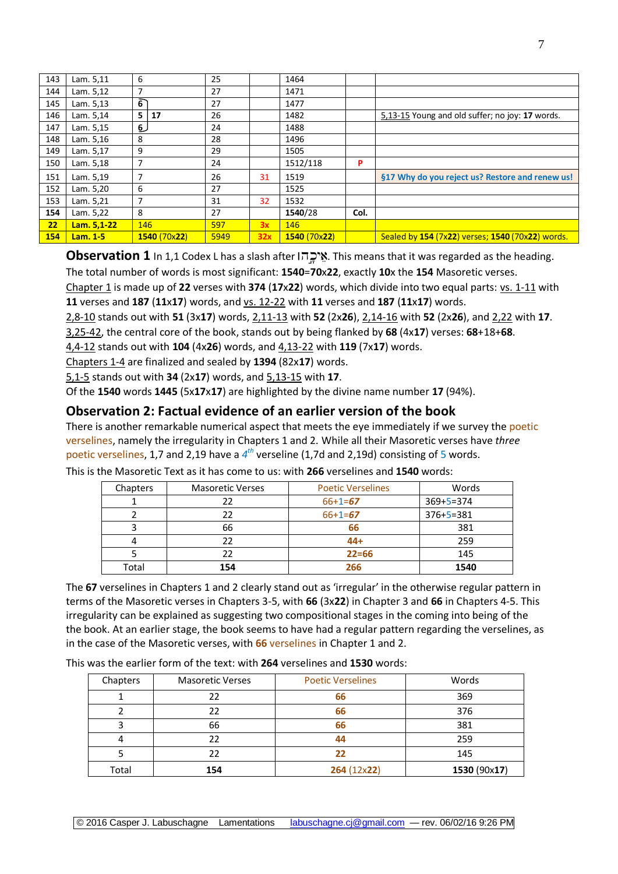| 143 | Lam. 5,11   | 6   |              | 25   |     | 1464         |      |                                                  |
|-----|-------------|-----|--------------|------|-----|--------------|------|--------------------------------------------------|
| 144 | Lam. 5,12   | 7   |              | 27   |     | 1471         |      |                                                  |
| 145 | Lam. 5,13   | 6   |              | 27   |     | 1477         |      |                                                  |
| 146 | Lam. 5,14   | 5 I | 17           | 26   |     | 1482         |      | 5,13-15 Young and old suffer; no joy: 17 words.  |
| 147 | Lam. 5,15   | 6   |              | 24   |     | 1488         |      |                                                  |
| 148 | Lam. 5,16   | 8   |              | 28   |     | 1496         |      |                                                  |
| 149 | Lam. 5,17   | 9   |              | 29   |     | 1505         |      |                                                  |
| 150 | Lam. 5,18   |     |              | 24   |     | 1512/118     | P    |                                                  |
| 151 | Lam. 5,19   | 7   |              | 26   | 31  | 1519         |      | §17 Why do you reject us? Restore and renew us!  |
| 152 | Lam. 5,20   | 6   |              | 27   |     | 1525         |      |                                                  |
| 153 | Lam. 5,21   | 7   |              | 31   | 32  | 1532         |      |                                                  |
| 154 | Lam. 5,22   | 8   |              | 27   |     | 1540/28      | Col. |                                                  |
| 22  | Lam. 5,1-22 | 146 |              | 597  | 3x  | 146          |      |                                                  |
| 154 | Lam. 1-5    |     | 1540 (70x22) | 5949 | 32x | 1540 (70x22) |      | Sealed by 154 (7x22) verses; 1540 (70x22) words. |

**Observation 1** In 1,1 Codex L has a slash after . This means that it was regarded as the heading. The total number of words is most significant: **1540**=**70**x**22**, exactly **10**x the **154** Masoretic verses.

Chapter 1 is made up of **22** verses with **374** (**17**x**22**) words, which divide into two equal parts: vs. 1-11 with **11** verses and **187** (**11**x**17**) words, and vs. 12-22 with **11** verses and **187** (**11**x**17**) words.

2,8-10 stands out with **51** (3x**17**) words, 2,11-13 with **52** (2x**26**), 2,14-16 with **52** (2x**26**), and 2,22 with **17**.

3,25-42, the central core of the book, stands out by being flanked by **68** (4x**17**) verses: **68**+18+**68**.

4,4-12 stands out with **104** (4x**26**) words, and 4,13-22 with **119** (7x**17**) words.

Chapters 1-4 are finalized and sealed by **1394** (82x**17**) words.

5,1-5 stands out with **34** (2x**17**) words, and 5,13-15 with **17**.

Of the **1540** words **1445** (5x**17**x**17**) are highlighted by the divine name number **17** (94%).

## **Observation 2: Factual evidence of an earlier version of the book**

There is another remarkable numerical aspect that meets the eye immediately if we survey the poetic verselines, namely the irregularity in Chapters 1 and 2. While all their Masoretic verses have *three* poetic verselines, 1,7 and 2,19 have a 4<sup>th</sup> verseline (1,7d and 2,19d) consisting of 5 words.

| Chapters | <b>Masoretic Verses</b> | <b>Poetic Verselines</b> | Words           |
|----------|-------------------------|--------------------------|-----------------|
|          | 22                      | $66+1=67$                | $369 + 5 = 374$ |
|          | 22                      | $66+1=67$                | $376 + 5 = 381$ |
|          | 66                      | 66                       | 381             |
|          | 22                      | $44+$                    | 259             |
|          | 22                      | $22 = 66$                | 145             |
| Total    | 154                     | 266                      | 1540            |

This is the Masoretic Text as it has come to us: with **266** verselines and **1540** words:

The **67** verselines in Chapters 1 and 2 clearly stand out as 'irregular' in the otherwise regular pattern in terms of the Masoretic verses in Chapters 3-5, with **66** (3x**22**) in Chapter 3 and **66** in Chapters 4-5. This irregularity can be explained as suggesting two compositional stages in the coming into being of the the book. At an earlier stage, the book seems to have had a regular pattern regarding the verselines, as in the case of the Masoretic verses, with **66** verselines in Chapter 1 and 2.

This was the earlier form of the text: with **264** verselines and **1530** words:

| Chapters | <b>Masoretic Verses</b> | <b>Poetic Verselines</b> | Words        |
|----------|-------------------------|--------------------------|--------------|
|          | 22                      | 66                       | 369          |
|          | 22                      | 66                       | 376          |
|          | 66                      | 66                       | 381          |
|          | 22                      | 44                       | 259          |
|          | 22                      |                          | 145          |
| Total    | 154                     | 264(12x22)               | 1530 (90x17) |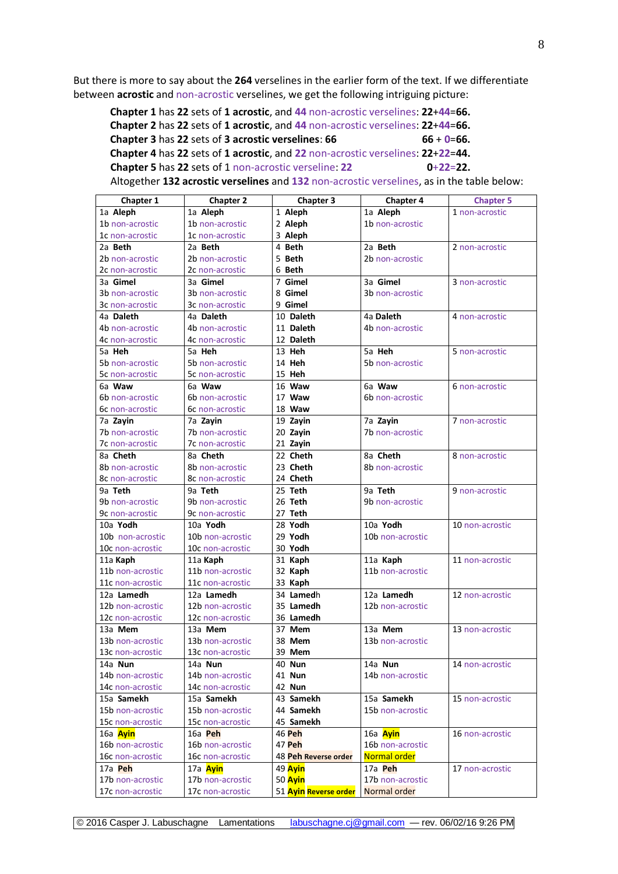But there is more to say about the **264** verselines in the earlier form of the text. If we differentiate between **acrostic** and non-acrostic verselines, we get the following intriguing picture:

**Chapter 1** has **22** sets of **1 acrostic**, and **44** non-acrostic verselines: **22**+**44**=**66. Chapter 2** has **22** sets of **1 acrostic**, and **44** non-acrostic verselines: **22**+**44**=**66. Chapter 3** has 22 sets of **3** acrostic verselines:  $66$  **66**  $+$  **0**=**66. Chapter 4** has **22** sets of **1 acrostic**, and **22** non-acrostic verselines: **22**+**22**=**44. Chapter 5** has 22 sets of 1 non-acrostic verseline: 22 0+22=22.

Altogether **132 acrostic verselines** and **132** non-acrostic verselines, as in the table below:

| <b>Chapter 1</b>       | <b>Chapter 2</b> | Chapter 3             | <b>Chapter 4</b> | <b>Chapter 5</b> |
|------------------------|------------------|-----------------------|------------------|------------------|
| 1a Aleph               | 1a Aleph         | 1 Aleph               | 1a Aleph         | 1 non-acrostic   |
| 1b non-acrostic        | 1b non-acrostic  | 2 Aleph               | 1b non-acrostic  |                  |
| 1c non-acrostic        | 1c non-acrostic  | 3 Aleph               |                  |                  |
| 2a Beth                | 2a Beth          | 4 Beth                | 2a Beth          | 2 non-acrostic   |
| 2b non-acrostic        | 2b non-acrostic  | 5 Beth                | 2b non-acrostic  |                  |
| 2c non-acrostic        | 2c non-acrostic  | 6 Beth                |                  |                  |
| 3a <b>Gimel</b>        | 3a Gimel         | 7 Gimel               | 3a Gimel         | 3 non-acrostic   |
| <b>3b</b> non-acrostic | 3b non-acrostic  | 8 Gimel               | 3b non-acrostic  |                  |
| 3c non-acrostic        | 3c non-acrostic  | 9 Gimel               |                  |                  |
| 4a Daleth              | 4a Daleth        | 10 Daleth             | 4a Daleth        | 4 non-acrostic   |
| 4b non-acrostic        | 4b non-acrostic  | 11 Daleth             | 4b non-acrostic  |                  |
| 4c non-acrostic        | 4c non-acrostic  | 12 Daleth             |                  |                  |
| 5a <b>Heh</b>          | 5a Heh           | 13 Heh                | 5a Heh           | 5 non-acrostic   |
| 5b non-acrostic        | 5b non-acrostic  | 14 Heh                | 5b non-acrostic  |                  |
| 5c non-acrostic        | 5c non-acrostic  | 15 Heh                |                  |                  |
| 6a Waw                 | 6a Waw           | 16 Waw                | 6a Waw           | 6 non-acrostic   |
| 6b non-acrostic        | 6b non-acrostic  | 17 Waw                | 6b non-acrostic  |                  |
| 6c non-acrostic        | 6c non-acrostic  | 18 Waw                |                  |                  |
| 7a Zayin               | 7a Zayin         | 19 Zayin              | 7a Zayin         | 7 non-acrostic   |
| 7b non-acrostic        | 7b non-acrostic  | 20 Zayin              | 7b non-acrostic  |                  |
| 7c non-acrostic        | 7c non-acrostic  | 21 Zayin              |                  |                  |
| 8a Cheth               | 8a Cheth         | 22 Cheth              | 8a Cheth         | 8 non-acrostic   |
| 8b non-acrostic        | 8b non-acrostic  | 23 Cheth              | 8b non-acrostic  |                  |
| 8c non-acrostic        | 8c non-acrostic  | 24 Cheth              |                  |                  |
| 9a Teth                | 9a Teth          | 25 Teth               | 9a Teth          | 9 non-acrostic   |
| 9b non-acrostic        | 9b non-acrostic  | 26 Teth               | 9b non-acrostic  |                  |
| 9c non-acrostic        | 9c non-acrostic  | 27 Teth               |                  |                  |
| 10a Yodh               | 10a Yodh         | 28 Yodh               | 10a Yodh         | 10 non-acrostic  |
| 10b non-acrostic       | 10b non-acrostic | 29 Yodh               | 10b non-acrostic |                  |
| 10c non-acrostic       | 10c non-acrostic | 30 Yodh               |                  |                  |
| 11a Kaph               | 11a Kaph         | 31 Kaph               | 11a Kaph         | 11 non-acrostic  |
| 11b non-acrostic       | 11b non-acrostic | 32 Kaph               | 11b non-acrostic |                  |
| 11c non-acrostic       | 11c non-acrostic | 33 Kaph               |                  |                  |
| 12a Lamedh             | 12a Lamedh       | 34 Lamedh             | 12a Lamedh       | 12 non-acrostic  |
| 12b non-acrostic       | 12b non-acrostic | 35 Lamedh             | 12b non-acrostic |                  |
| 12c non-acrostic       | 12c non-acrostic | 36 Lamedh             |                  |                  |
| 13a Mem                | 13a Mem          | 37 Mem                | 13a Mem          | 13 non-acrostic  |
| 13b non-acrostic       | 13b non-acrostic | 38 Mem                | 13b non-acrostic |                  |
| 13c non-acrostic       | 13c non-acrostic | 39 Mem                |                  |                  |
| 14a Nun                | 14a Nun          | 40 Nun                | 14a Nun          | 14 non-acrostic  |
| 14b non-acrostic       | 14b non-acrostic | 41 <b>Nun</b>         | 14b non-acrostic |                  |
| 14c non-acrostic       | 14c non-acrostic | 42 Nun                |                  |                  |
| 15a Samekh             | 15a Samekh       | 43 Samekh             | 15a Samekh       | 15 non-acrostic  |
| 15b non-acrostic       | 15b non-acrostic | 44 Samekh             | 15b non-acrostic |                  |
| 15c non-acrostic       | 15c non-acrostic | 45 Samekh             |                  |                  |
| 16a Ayin               | 16a Peh          | <b>46 Peh</b>         | 16a Ayin         | 16 non-acrostic  |
| 16b non-acrostic       | 16b non-acrostic | 47 Peh                | 16b non-acrostic |                  |
| 16c non-acrostic       | 16c non-acrostic | 48 Peh Reverse order  | Normal order     |                  |
| 17a Peh                | 17a Ayin         | 49 Ayin               | 17a Peh          | 17 non-acrostic  |
| 17b non-acrostic       | 17b non-acrostic | 50 Ayin               | 17b non-acrostic |                  |
| 17c non-acrostic       | 17c non-acrostic | 51 Ayin Reverse order | Normal order     |                  |

© 2016 Casper J. Labuschagne Lamentations [labuschagne.cj@gmail.com](mailto:labuschagne.cj@gmail.com) — rev. 06/02/16 9:26 PM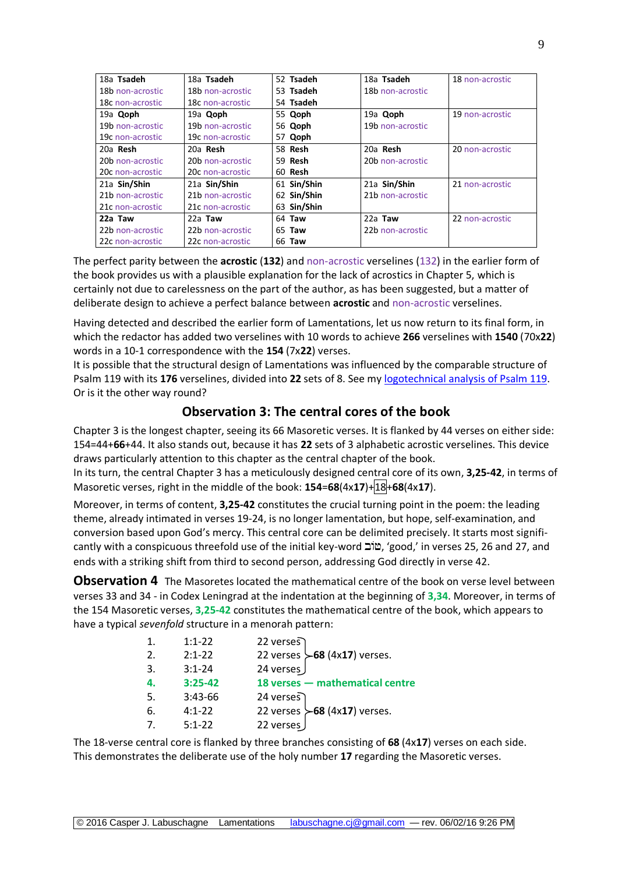| 18a Tsadeh       | 18a Tsadeh       | 52 Tsadeh     | 18a Tsadeh       | 18 non-acrostic |
|------------------|------------------|---------------|------------------|-----------------|
| 18b non-acrostic | 18b non-acrostic | 53 Tsadeh     | 18b non-acrostic |                 |
| 18c non-acrostic | 18c non-acrostic | 54 Tsadeh     |                  |                 |
| 19a Qoph         | 19a Qoph         | 55 Qoph       | 19a Qoph         | 19 non-acrostic |
| 19b non-acrostic | 19b non-acrostic | 56 Qoph       | 19b non-acrostic |                 |
| 19c non-acrostic | 19c non-acrostic | 57 Qoph       |                  |                 |
| 20a Resh         | 20a Resh         | 58 Resh       | 20a Resh         | 20 non-acrostic |
| 20b non-acrostic | 20b non-acrostic | 59 Resh       | 20b non-acrostic |                 |
| 20c non-acrostic | 20c non-acrostic | 60 Resh       |                  |                 |
| 21a Sin/Shin     | 21a Sin/Shin     | 61 Sin/Shin   | 21a Sin/Shin     | 21 non-acrostic |
| 21b non-acrostic | 21b non-acrostic | 62 Sin/Shin   | 21b non-acrostic |                 |
| 21c non-acrostic | 21c non-acrostic | 63 Sin/Shin   |                  |                 |
| 22a Taw          | $22a$ Taw        | 64 Taw        | $22a$ Taw        | 22 non-acrostic |
| 22b non-acrostic | 22b non-acrostic | 65 <b>Taw</b> | 22b non-acrostic |                 |
| 22c non-acrostic | 22c non-acrostic | 66 <b>Taw</b> |                  |                 |

The perfect parity between the **acrostic** (**132**) and non-acrostic verselines (132) in the earlier form of the book provides us with a plausible explanation for the lack of acrostics in Chapter 5, which is certainly not due to carelessness on the part of the author, as has been suggested, but a matter of deliberate design to achieve a perfect balance between **acrostic** and non-acrostic verselines.

Having detected and described the earlier form of Lamentations, let us now return to its final form, in which the redactor has added two verselines with 10 words to achieve **266** verselines with **1540** (70x**22**) words in a 10-1 correspondence with the **154** (7x**22**) verses.

It is possible that the structural design of Lamentations was influenced by the comparable structure of Psalm 119 with its **176** verselines, divided into **22** sets of 8. See my [logotechnical analysis](http://www.labuschagne.nl/ps119.pdf) of Psalm 119. Or is it the other way round?

# **Observation 3: The central cores of the book**

Chapter 3 is the longest chapter, seeing its 66 Masoretic verses. It is flanked by 44 verses on either side: 154=44+**66**+44. It also stands out, because it has **22** sets of 3 alphabetic acrostic verselines. This device draws particularly attention to this chapter as the central chapter of the book.

In its turn, the central Chapter 3 has a meticulously designed central core of its own, **3,25-42**, in terms of Masoretic verses, right in the middle of the book: **154**=**68**(4x**17**)+18+**68**(4x**17**).

Moreover, in terms of content, **3,25-42** constitutes the crucial turning point in the poem: the leading theme, already intimated in verses 19-24, is no longer lamentation, but hope, self-examination, and conversion based upon God's mercy. This central core can be delimited precisely. It starts most significantly with a conspicuous threefold use of the initial key-word בוֹב 'good,' in verses 25, 26 and 27, and ends with a striking shift from third to second person, addressing God directly in verse 42.

**Observation 4** The Masoretes located the mathematical centre of the book on verse level between verses 33 and 34 - in Codex Leningrad at the indentation at the beginning of **3,34**. Moreover, in terms of the 154 Masoretic verses, **3,25-42** constitutes the mathematical centre of the book, which appears to have a typical *sevenfold* structure in a menorah pattern:

| 1. | $1:1-22$   | 22 verses   |                                     |
|----|------------|-------------|-------------------------------------|
| 2. | $2:1 - 22$ |             | 22 verses $\succ$ 68 (4x17) verses. |
| 3. | $3:1 - 24$ | 24 verses   |                                     |
| 4. | $3:25-42$  |             | 18 verses - mathematical centre     |
| 5. | 3:43-66    | $24$ verses |                                     |
| 6. | $4:1 - 22$ |             | 22 verses $\succ$ 68 (4x17) verses. |
|    | $5:1-22$   | 22 verses   |                                     |

The 18-verse central core is flanked by three branches consisting of **68** (4x**17**) verses on each side. This demonstrates the deliberate use of the holy number **17** regarding the Masoretic verses.